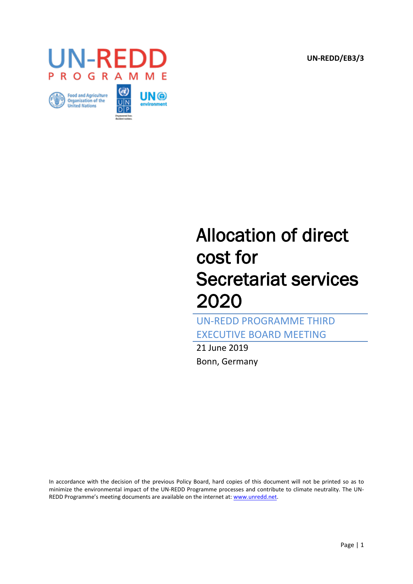**UN-REDD/EB3/3**







# Allocation of direct cost for Secretariat services 2020

UN-REDD PROGRAMME THIRD EXECUTIVE BOARD MEETING

21 June 2019 Bonn, Germany

In accordance with the decision of the previous Policy Board, hard copies of this document will not be printed so as to minimize the environmental impact of the UN-REDD Programme processes and contribute to climate neutrality. The UN-REDD Programme's meeting documents are available on the internet at[: www.unredd.net.](http://www.unredd.net/documents/executive-board/1st-executive-board-meeting-rome-15-16-june-2017.html)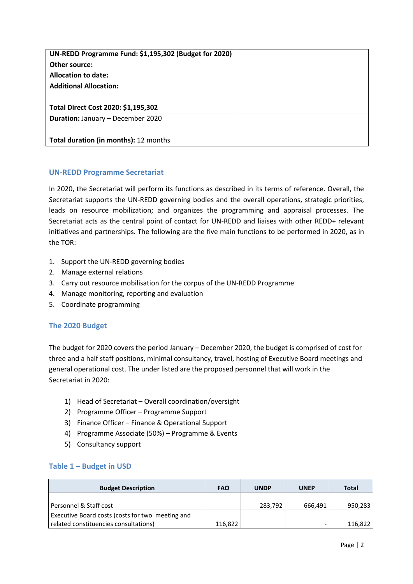| UN-REDD Programme Fund: \$1,195,302 (Budget for 2020) |  |
|-------------------------------------------------------|--|
| Other source:                                         |  |
| <b>Allocation to date:</b>                            |  |
| <b>Additional Allocation:</b>                         |  |
|                                                       |  |
| Total Direct Cost 2020: \$1,195,302                   |  |
| <b>Duration: January - December 2020</b>              |  |
|                                                       |  |
| <b>Total duration (in months): 12 months</b>          |  |

## **UN-REDD Programme Secretariat**

In 2020, the Secretariat will perform its functions as described in its terms of reference. Overall, the Secretariat supports the UN-REDD governing bodies and the overall operations, strategic priorities, leads on resource mobilization; and organizes the programming and appraisal processes. The Secretariat acts as the central point of contact for UN-REDD and liaises with other REDD+ relevant initiatives and partnerships. The following are the five main functions to be performed in 2020, as in the TOR:

- 1. Support the UN-REDD governing bodies
- 2. Manage external relations
- 3. Carry out resource mobilisation for the corpus of the UN-REDD Programme
- 4. Manage monitoring, reporting and evaluation
- 5. Coordinate programming

### **The 2020 Budget**

The budget for 2020 covers the period January – December 2020, the budget is comprised of cost for three and a half staff positions, minimal consultancy, travel, hosting of Executive Board meetings and general operational cost. The under listed are the proposed personnel that will work in the Secretariat in 2020:

- 1) Head of Secretariat Overall coordination/oversight
- 2) Programme Officer Programme Support
- 3) Finance Officer Finance & Operational Support
- 4) Programme Associate (50%) Programme & Events
- 5) Consultancy support

### **Table 1 – Budget in USD**

| <b>Budget Description</b>                        | <b>FAO</b> | <b>UNDP</b> | <b>UNEP</b> | Total   |
|--------------------------------------------------|------------|-------------|-------------|---------|
|                                                  |            |             |             |         |
| Personnel & Staff cost                           |            | 283,792     | 666.491     | 950,283 |
| Executive Board costs (costs for two meeting and |            |             |             |         |
| related constituencies consultations)            | 116,822    |             |             | 116,822 |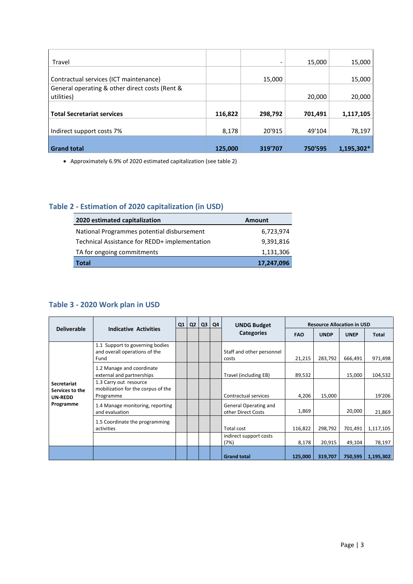| Travel                                         |         |         | 15,000  | 15,000     |
|------------------------------------------------|---------|---------|---------|------------|
|                                                |         |         |         |            |
| Contractual services (ICT maintenance)         |         | 15,000  |         | 15,000     |
| General operating & other direct costs (Rent & |         |         |         |            |
| utilities)                                     |         |         | 20,000  | 20,000     |
|                                                |         |         |         |            |
| <b>Total Secretariat services</b>              | 116,822 | 298,792 | 701,491 | 1,117,105  |
|                                                |         |         |         |            |
| Indirect support costs 7%                      | 8,178   | 20'915  | 49'104  | 78,197     |
|                                                |         |         |         |            |
| <b>Grand total</b>                             | 125,000 | 319'707 | 750'595 | 1,195,302* |

Approximately 6.9% of 2020 estimated capitalization (see table 2)

## **Table 2 - Estimation of 2020 capitalization (in USD)**

| 2020 estimated capitalization                 | <b>Amount</b> |  |  |  |
|-----------------------------------------------|---------------|--|--|--|
| National Programmes potential disbursement    | 6,723,974     |  |  |  |
| Technical Assistance for REDD+ implementation | 9,391,816     |  |  |  |
| TA for ongoing commitments                    | 1,131,306     |  |  |  |
| <b>Total</b>                                  | 17,247,096    |  |  |  |

## **Table 3 - 2020 Work plan in USD**

| <b>Deliverable</b>                                            | <b>Indicative Activities</b>                                              | Q <sub>1</sub> | Q <sub>2</sub> | Q3 | Q4 | <b>UNDG Budget</b>                          | <b>Resource Allocation in USD</b> |             |             |              |
|---------------------------------------------------------------|---------------------------------------------------------------------------|----------------|----------------|----|----|---------------------------------------------|-----------------------------------|-------------|-------------|--------------|
|                                                               |                                                                           |                |                |    |    | <b>Categories</b>                           | <b>FAO</b>                        | <b>UNDP</b> | <b>UNEP</b> | <b>Total</b> |
| Secretariat<br>Services to the<br><b>UN-REDD</b><br>Programme | 1.1 Support to governing bodies<br>and overall operations of the<br>Fund  |                |                |    |    | Staff and other personnel<br>costs          | 21,215                            | 283,792     | 666,491     | 971,498      |
|                                                               | 1.2 Manage and coordinate<br>external and partnerships                    |                |                |    |    | Travel (including EB)                       | 89,532                            |             | 15,000      | 104,532      |
|                                                               | 1.3 Carry out resource<br>mobilization for the corpus of the<br>Programme |                |                |    |    | Contractual services                        | 4,206                             | 15,000      |             | 19'206       |
|                                                               | 1.4 Manage monitoring, reporting<br>and evaluation                        |                |                |    |    | General Operating and<br>other Direct Costs | 1,869                             |             | 20,000      | 21,869       |
|                                                               | 1.5 Coordinate the programming<br>activities                              |                |                |    |    | Total cost                                  | 116,822                           | 298,792     | 701,491     | 1,117,105    |
|                                                               |                                                                           |                |                |    |    | indirect support costs<br>(7%)              | 8,178                             | 20,915      | 49,104      | 78,197       |
|                                                               |                                                                           |                |                |    |    | <b>Grand total</b>                          | 125,000                           | 319,707     | 750,595     | 1,195,302    |